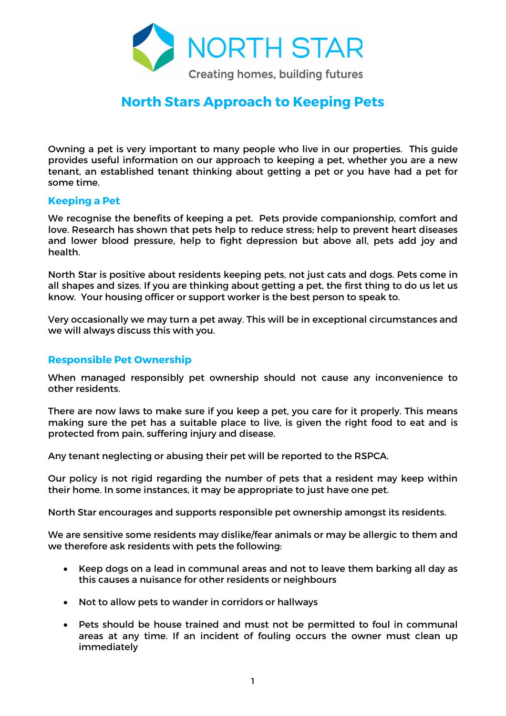

# North Stars Approach to Keeping Pets

Owning a pet is very important to many people who live in our properties. This guide provides useful information on our approach to keeping a pet, whether you are a new tenant, an established tenant thinking about getting a pet or you have had a pet for some time.

### Keeping a Pet

We recognise the benefits of keeping a pet. Pets provide companionship, comfort and love. Research has shown that pets help to reduce stress; help to prevent heart diseases and lower blood pressure, help to fight depression but above all, pets add joy and health.

North Star is positive about residents keeping pets, not just cats and dogs. Pets come in all shapes and sizes. If you are thinking about getting a pet, the first thing to do us let us know. Your housing officer or support worker is the best person to speak to.

Very occasionally we may turn a pet away. This will be in exceptional circumstances and we will always discuss this with you.

#### Responsible Pet Ownership

When managed responsibly pet ownership should not cause any inconvenience to other residents.

There are now laws to make sure if you keep a pet, you care for it properly. This means making sure the pet has a suitable place to live, is given the right food to eat and is protected from pain, suffering injury and disease.

Any tenant neglecting or abusing their pet will be reported to the RSPCA.

Our policy is not rigid regarding the number of pets that a resident may keep within their home. In some instances, it may be appropriate to just have one pet.

North Star encourages and supports responsible pet ownership amongst its residents.

We are sensitive some residents may dislike/fear animals or may be allergic to them and we therefore ask residents with pets the following:

- Keep dogs on a lead in communal areas and not to leave them barking all day as this causes a nuisance for other residents or neighbours
- Not to allow pets to wander in corridors or hallways
- Pets should be house trained and must not be permitted to foul in communal areas at any time. If an incident of fouling occurs the owner must clean up immediately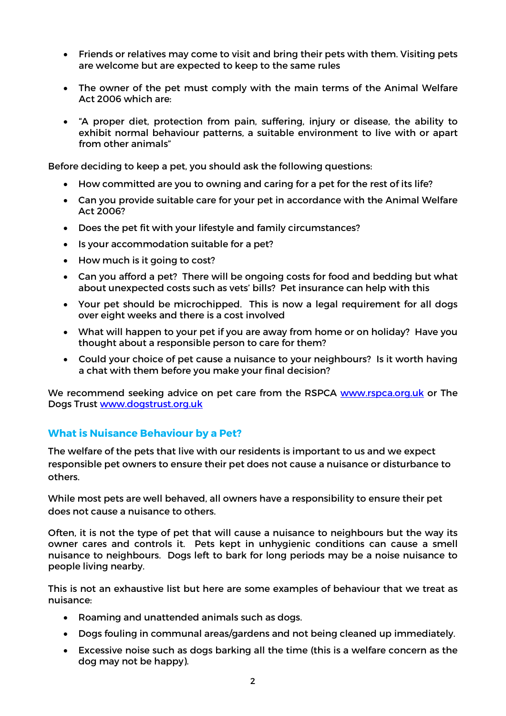- Friends or relatives may come to visit and bring their pets with them. Visiting pets are welcome but are expected to keep to the same rules
- The owner of the pet must comply with the main terms of the Animal Welfare Act 2006 which are:
- "A proper diet, protection from pain, suffering, injury or disease, the ability to exhibit normal behaviour patterns, a suitable environment to live with or apart from other animals"

Before deciding to keep a pet, you should ask the following questions:

- How committed are you to owning and caring for a pet for the rest of its life?
- Can you provide suitable care for your pet in accordance with the Animal Welfare Act 2006?
- Does the pet fit with your lifestyle and family circumstances?
- Is your accommodation suitable for a pet?
- How much is it going to cost?
- Can you afford a pet? There will be ongoing costs for food and bedding but what about unexpected costs such as vets' bills? Pet insurance can help with this
- Your pet should be microchipped. This is now a legal requirement for all dogs over eight weeks and there is a cost involved
- What will happen to your pet if you are away from home or on holiday? Have you thought about a responsible person to care for them?
- Could your choice of pet cause a nuisance to your neighbours? Is it worth having a chat with them before you make your final decision?

We recommend seeking advice on pet care from the RSPCA www.rspca.org.uk or The Dogs Trust www.dogstrust.org.uk

## What is Nuisance Behaviour by a Pet?

The welfare of the pets that live with our residents is important to us and we expect responsible pet owners to ensure their pet does not cause a nuisance or disturbance to others.

While most pets are well behaved, all owners have a responsibility to ensure their pet does not cause a nuisance to others.

Often, it is not the type of pet that will cause a nuisance to neighbours but the way its owner cares and controls it. Pets kept in unhygienic conditions can cause a smell nuisance to neighbours. Dogs left to bark for long periods may be a noise nuisance to people living nearby.

This is not an exhaustive list but here are some examples of behaviour that we treat as nuisance:

- Roaming and unattended animals such as dogs.
- Dogs fouling in communal areas/gardens and not being cleaned up immediately.
- Excessive noise such as dogs barking all the time (this is a welfare concern as the dog may not be happy).